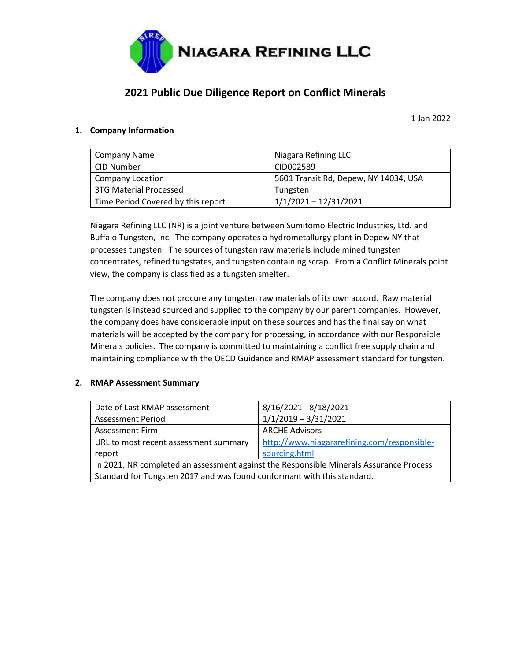

# **2021 Public Due Diligence Report on Conflict Minerals**

1 Jan 2022

# **1. Company Information**

| Company Name                       | Niagara Refining LLC                  |
|------------------------------------|---------------------------------------|
| CID Number                         | CID002589                             |
| <b>Company Location</b>            | 5601 Transit Rd, Depew, NY 14034, USA |
| 3TG Material Processed             | Tungsten                              |
| Time Period Covered by this report | $1/1/2021 - 12/31/2021$               |

Niagara Refining LLC (NR) is a joint venture between Sumitomo Electric Industries, Ltd. and Buffalo Tungsten, Inc. The company operates a hydrometallurgy plant in Depew NY that processes tungsten. The sources of tungsten raw materials include mined tungsten concentrates, refined tungstates, and tungsten containing scrap. From a Conflict Minerals point view, the company is classified as a tungsten smelter.

The company does not procure any tungsten raw materials of its own accord. Raw material tungsten is instead sourced and supplied to the company by our parent companies. However, the company does have considerable input on these sources and has the final say on what materials will be accepted by the company for processing, in accordance with our Responsible Minerals policies. The company is committed to maintaining a conflict free supply chain and maintaining compliance with the OECD Guidance and RMAP assessment standard for tungsten.

#### **2. RMAP Assessment Summary**

| Date of Last RMAP assessment                                                           | 8/16/2021 - 8/18/2021                       |
|----------------------------------------------------------------------------------------|---------------------------------------------|
| <b>Assessment Period</b>                                                               | $1/1/2019 - 3/31/2021$                      |
| <b>Assessment Firm</b>                                                                 | <b>ARCHE Advisors</b>                       |
| URL to most recent assessment summary                                                  | http://www.niagararefining.com/responsible- |
| report                                                                                 | sourcing.html                               |
| In 2021, NR completed an assessment against the Responsible Minerals Assurance Process |                                             |
| Standard for Tungsten 2017 and was found conformant with this standard.                |                                             |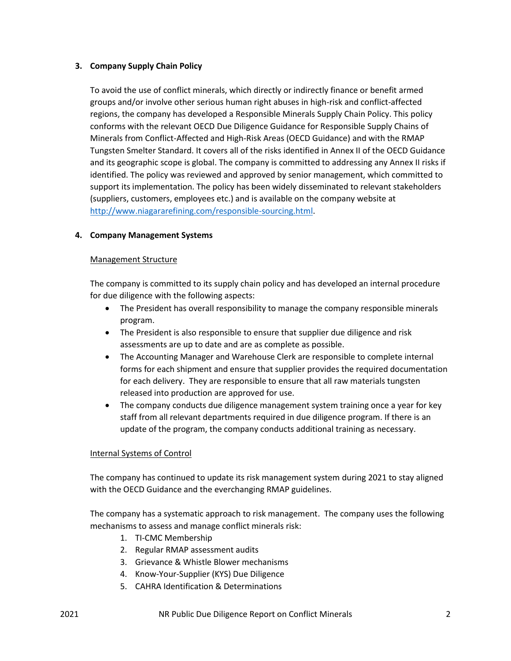# **3. Company Supply Chain Policy**

To avoid the use of conflict minerals, which directly or indirectly finance or benefit armed groups and/or involve other serious human right abuses in high-risk and conflict-affected regions, the company has developed a Responsible Minerals Supply Chain Policy. This policy conforms with the relevant OECD Due Diligence Guidance for Responsible Supply Chains of Minerals from Conflict-Affected and High-Risk Areas (OECD Guidance) and with the RMAP Tungsten Smelter Standard. It covers all of the risks identified in Annex II of the OECD Guidance and its geographic scope is global. The company is committed to addressing any Annex II risks if identified. The policy was reviewed and approved by senior management, which committed to support its implementation. The policy has been widely disseminated to relevant stakeholders (suppliers, customers, employees etc.) and is available on the company website at [http://www.niagararefining.com/responsible-sourcing.html.](http://www.niagararefining.com/responsible-sourcing.html)

#### **4. Company Management Systems**

#### Management Structure

The company is committed to its supply chain policy and has developed an internal procedure for due diligence with the following aspects:

- The President has overall responsibility to manage the company responsible minerals program.
- The President is also responsible to ensure that supplier due diligence and risk assessments are up to date and are as complete as possible.
- The Accounting Manager and Warehouse Clerk are responsible to complete internal forms for each shipment and ensure that supplier provides the required documentation for each delivery. They are responsible to ensure that all raw materials tungsten released into production are approved for use.
- The company conducts due diligence management system training once a year for key staff from all relevant departments required in due diligence program. If there is an update of the program, the company conducts additional training as necessary.

#### Internal Systems of Control

The company has continued to update its risk management system during 2021 to stay aligned with the OECD Guidance and the everchanging RMAP guidelines.

The company has a systematic approach to risk management. The company uses the following mechanisms to assess and manage conflict minerals risk:

- 1. TI-CMC Membership
- 2. Regular RMAP assessment audits
- 3. Grievance & Whistle Blower mechanisms
- 4. Know-Your-Supplier (KYS) Due Diligence
- 5. CAHRA Identification & Determinations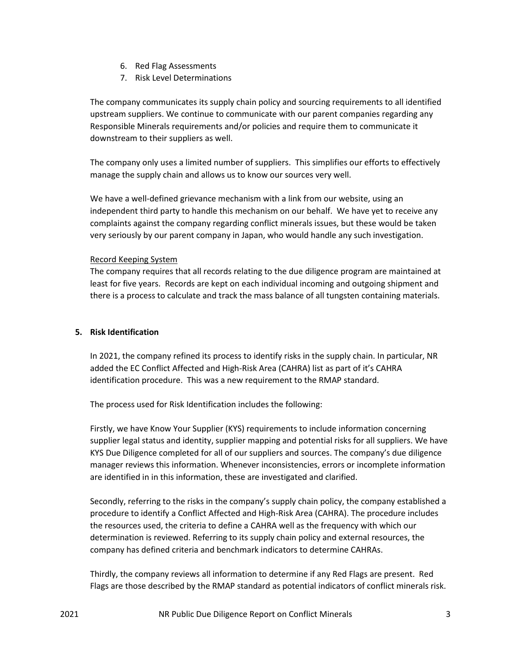- 6. Red Flag Assessments
- 7. Risk Level Determinations

The company communicates its supply chain policy and sourcing requirements to all identified upstream suppliers. We continue to communicate with our parent companies regarding any Responsible Minerals requirements and/or policies and require them to communicate it downstream to their suppliers as well.

The company only uses a limited number of suppliers. This simplifies our efforts to effectively manage the supply chain and allows us to know our sources very well.

We have a well-defined grievance mechanism with a link from our website, using an independent third party to handle this mechanism on our behalf. We have yet to receive any complaints against the company regarding conflict minerals issues, but these would be taken very seriously by our parent company in Japan, who would handle any such investigation.

#### Record Keeping System

The company requires that all records relating to the due diligence program are maintained at least for five years. Records are kept on each individual incoming and outgoing shipment and there is a process to calculate and track the mass balance of all tungsten containing materials.

# **5. Risk Identification**

In 2021, the company refined its process to identify risks in the supply chain. In particular, NR added the EC Conflict Affected and High-Risk Area (CAHRA) list as part of it's CAHRA identification procedure. This was a new requirement to the RMAP standard.

The process used for Risk Identification includes the following:

Firstly, we have Know Your Supplier (KYS) requirements to include information concerning supplier legal status and identity, supplier mapping and potential risks for all suppliers. We have KYS Due Diligence completed for all of our suppliers and sources. The company's due diligence manager reviews this information. Whenever inconsistencies, errors or incomplete information are identified in in this information, these are investigated and clarified.

Secondly, referring to the risks in the company's supply chain policy, the company established a procedure to identify a Conflict Affected and High-Risk Area (CAHRA). The procedure includes the resources used, the criteria to define a CAHRA well as the frequency with which our determination is reviewed. Referring to its supply chain policy and external resources, the company has defined criteria and benchmark indicators to determine CAHRAs.

Thirdly, the company reviews all information to determine if any Red Flags are present. Red Flags are those described by the RMAP standard as potential indicators of conflict minerals risk.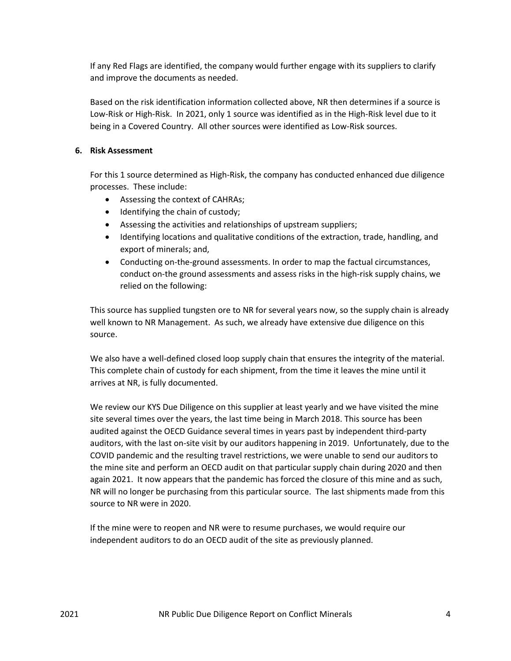If any Red Flags are identified, the company would further engage with its suppliers to clarify and improve the documents as needed.

Based on the risk identification information collected above, NR then determines if a source is Low-Risk or High-Risk. In 2021, only 1 source was identified as in the High-Risk level due to it being in a Covered Country. All other sources were identified as Low-Risk sources.

# **6. Risk Assessment**

For this 1 source determined as High-Risk, the company has conducted enhanced due diligence processes. These include:

- Assessing the context of CAHRAs;
- Identifying the chain of custody;
- Assessing the activities and relationships of upstream suppliers;
- Identifying locations and qualitative conditions of the extraction, trade, handling, and export of minerals; and,
- Conducting on-the-ground assessments. In order to map the factual circumstances, conduct on-the ground assessments and assess risks in the high-risk supply chains, we relied on the following:

This source has supplied tungsten ore to NR for several years now, so the supply chain is already well known to NR Management. As such, we already have extensive due diligence on this source.

We also have a well-defined closed loop supply chain that ensures the integrity of the material. This complete chain of custody for each shipment, from the time it leaves the mine until it arrives at NR, is fully documented.

We review our KYS Due Diligence on this supplier at least yearly and we have visited the mine site several times over the years, the last time being in March 2018. This source has been audited against the OECD Guidance several times in years past by independent third-party auditors, with the last on-site visit by our auditors happening in 2019. Unfortunately, due to the COVID pandemic and the resulting travel restrictions, we were unable to send our auditors to the mine site and perform an OECD audit on that particular supply chain during 2020 and then again 2021. It now appears that the pandemic has forced the closure of this mine and as such, NR will no longer be purchasing from this particular source. The last shipments made from this source to NR were in 2020.

If the mine were to reopen and NR were to resume purchases, we would require our independent auditors to do an OECD audit of the site as previously planned.